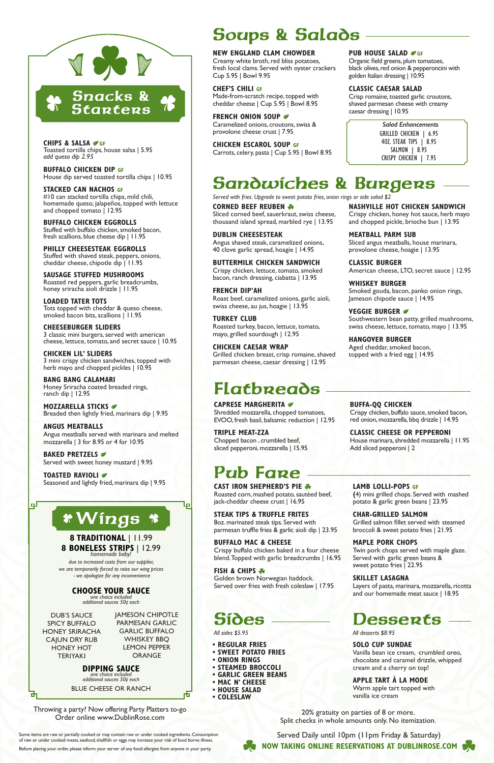## Sandwiches & Burgers

*Served with fries. Upgrade to sweet potato fries, onion rings or side salad \$2*

## Pub Fare

**NEW ENGLAND CLAM CHOWDER** Creamy white broth, red bliss potatoes, fresh local clams. Served with oyster crackers

Cup 5.95 | Bowl 9.95

**FRENCH ONION SOUP** 

**CHEF'S CHILI GF**

Made-from-scratch recipe, topped with cheddar cheese | Cup 5.95 | Bowl 8.95

**CAST IRON SHEPHERD'S PIE \*** Roasted corn, mashed potato, sautéed beef, jack-cheddar cheese crust | 16.95

Caramelized onions, croutons, swiss &

provolone cheese crust | 7.95

### **CHICKEN ESCAROL SOUP GF** Carrots, celery, pasta | Cup 5.95 | Bowl 8.95

### **PUB HOUSE SALAD**  $\sigma$ **GF**

**STEAK TIPS & TRUFFLE FRITES** 8oz. marinated steak tips. Served with parmesan truffle fries & garlic aioli dip | 23.95

**BUFFALO MAC & CHEESE**

Crispy buffalo chicken baked in a four cheese blend. Topped with garlic breadcrumbs | 16.95

Golden brown Norwegian haddock. Served over fries with fresh coleslaw | 17.95

### **Sides**

**CHIPS & SALSA GF** Toasted tortilla chips, house salsa | 5.95 *add queso dip 2.95*

Some items are raw or partially cooked or may contain raw or under cooked ingredients. Consumption of raw or under cooked meats, seafood, shellfish or eggs may increase your risk of food borne illness. Before placing your order, please inform your server of any food allergies from anyone in your party.

#### **FISH & CHIPS \***

#### **LAMB LOLLI-POPS GF**

**(**4) mini grilled chops. Served with mashed potato & garlic green beans | 23.95

**CHAR-GRILLED SALMON** Grilled salmon fillet served with steamed broccoli & sweet potato fries | 21.95

**CHICKEN LIL' SLIDERS** 3 mini crispy chicken sandwiches, topped with herb mayo and chopped pickles | 10.95

#### **MAPLE PORK CHOPS**

Twin pork chops served with maple glaze. Served with garlic green beans &

**MOZZARELLA STICKS** Breaded then lightly fried, marinara dip | 9.95

sweet potato fries | 22.95

#### **SKILLET LASAGNA**

Layers of pasta, marinara, mozzarella, ricotta and our homemade meat sauce | 18.95

**BAKED PRETZELS** Served with sweet honey mustard | 9.95

## **Desserts**



**TOASTED RAVIOLI** Seasoned and lightly fried, marinara dip | 9.95

Snacks & **Starters** 





DUB'S SAUCE SPICY BUFFALO HONEY SRIRACHA CAJUN DRY RUB HONEY HOT **TERIYAKI** 

Organic field greens, plum tomatoes, black olives, red onion & pepperoncini with golden Italian dressing | 10.95

#### **CLASSIC CAESAR SALAD**

Crisp romaine, toasted garlic croutons, shaved parmesan cheese with creamy caesar dressing | 10.95

Soups & Salads

**BUFFALO CHICKEN DIP GF** House dip served toasted tortilla chips | 10.95

**STACKED CAN NACHOS GF** #10 can stacked tortilla chips, mild chili, homemade queso, jalapeños, topped with lettuce and chopped tomato | 12.95

**BUFFALO CHICKEN EGGROLLS** Stuffed with buffalo chicken, smoked bacon, fresh scallions, blue cheese dip | 11.95

> Southwestern bean patty, grilled mushrooms, swiss cheese, lettuce, tomato, mayo | 13.95

**PHILLY CHEESESTEAK EGGROLLS** Stuffed with shaved steak, peppers, onions, cheddar cheese, chipotle dip | 11.95

**SAUSAGE STUFFED MUSHROOMS** Roasted red peppers, garlic breadcrumbs, honey sriracha aioli drizzle | 11.95

**LOADED TATER TOTS** Tots topped with cheddar & queso cheese, smoked bacon bits, scallions | 11.95

> **CAPRESE MARGHERITA** Shredded mozzarella, chopped tomatoes, EVOO, fresh basil, balsamic reduction | 12.95

**CHEESEBURGER SLIDERS** 3 classic mini burgers, served with american cheese, lettuce, tomato, and secret sauce | 10.95

**BANG BANG CALAMARI** Honey Sriracha coated breaded rings, ranch dip | 12.95

**ANGUS MEATBALLS** Angus meatballs served with marinara and melted mozzarella | 3 for 8.95 or 4 for 10.95

**8 TRADITIONAL** | 11.99

**8 BONELESS STRIPS** | 12.99 *homemade baby!*

*due to increased costs from our supplier, we are temporarily forced to raise our wing prices - we apologize for any inconvenience*

Wings Wings

JAMESON CHIPOTLE PARMESAN GARLIC GARLIC BUFFALO WHISKEY BBQ LEMON PEPPER ORANGE

년

Served Daily until 10pm (11pm Friday & Saturday)



**CORNED BEEF REUBEN** A Sliced corned beef, sauerkraut, swiss cheese, thousand island spread, marbled rye | 13.95

**DUBLIN CHEESESTEAK** Angus shaved steak, caramelized onions, 40 clove garlic spread, hoagie | 14.95

**BUTTERMILK CHICKEN SANDWICH** Crispy chicken, lettuce, tomato, smoked bacon, ranch dressing, ciabatta | 13.95

**FRENCH DIP'AH** Roast beef, caramelized onions, garlic aioli, swiss cheese, au jus, hoagie | 13.95

**TURKEY CLUB** Roasted turkey, bacon, lettuce, tomato, mayo, grilled sourdough | 12.95

**CHICKEN CAESAR WRAP** Grilled chicken breast, crisp romaine, shaved parmesan cheese, caesar dressing | 12.95

## **Flatbreads**

**NASHVILLE HOT CHICKEN SANDWICH** Crispy chicken, honey hot sauce, herb mayo and chopped pickle, brioche bun | 13.95

**MEATBALL PARM SUB**

Sliced angus meatballs, house marinara, provolone cheese, hoagie | 13.95

American cheese, LTO, secret sauce | 12.95

**CLASSIC BURGER** 

**WHISKEY BURGER**

**VEGGIE BURGER** 

Smoked gouda, bacon, panko onion rings,

Jameson chipotle sauce | 14.95

**HANGOVER BURGER**

Aged cheddar, smoked bacon, topped with a fried egg | 14.95

*All sides \$5.95*

*All desserts \$8.95*

#### **SOLO CUP SUNDAE**

Vanilla bean ice cream, crumbled oreo, chocolate and caramel drizzle, whipped cream and a cherry on top!

#### **APPLE TART À LA MODE**

Warm apple tart topped with vanilla ice cream

- **REGULAR FRIES**
- **SWEET POTATO FRIES**
- **ONION RINGS**
- **STEAMED BROCCOLI**
- **GARLIC GREEN BEANS**
- **MAC N' CHEESE**
- **HOUSE SALAD**
- **COLESLAW**

**TRIPLE MEAT-ZZA** Chopped bacon , crumbled beef, sliced pepperoni, mozzarella | 15.95 **BUFFA-QQ CHICKEN** Crispy chicken, buffalo sauce, smoked bacon, red onion, mozzarella, bbq drizzle | 14.95

**CLASSIC CHEESE OR PEPPERONI** House marinara, shredded mozzarella | 11.95 Add sliced pepperoni | 2

BLUE CHEESE OR RANCH

20% gratuity on parties of 8 or more. Split checks in whole amounts only. No itemization.

Throwing a party? Now offering Party Platters to-go Order online www.DublinRose.com

GRILLED CHICKEN | 6.95 4OZ. STEAK TIPS | 8.95 SALMON | 8.95 CRISPY CHICKEN | 7.95 *Salad Enhancements*

**CHOOSE YOUR SAUCE** *one choice included additional sauces 50¢ each*

#### **DIPPING SAUCE** *one choice included*

*additional sauces 50¢ each*